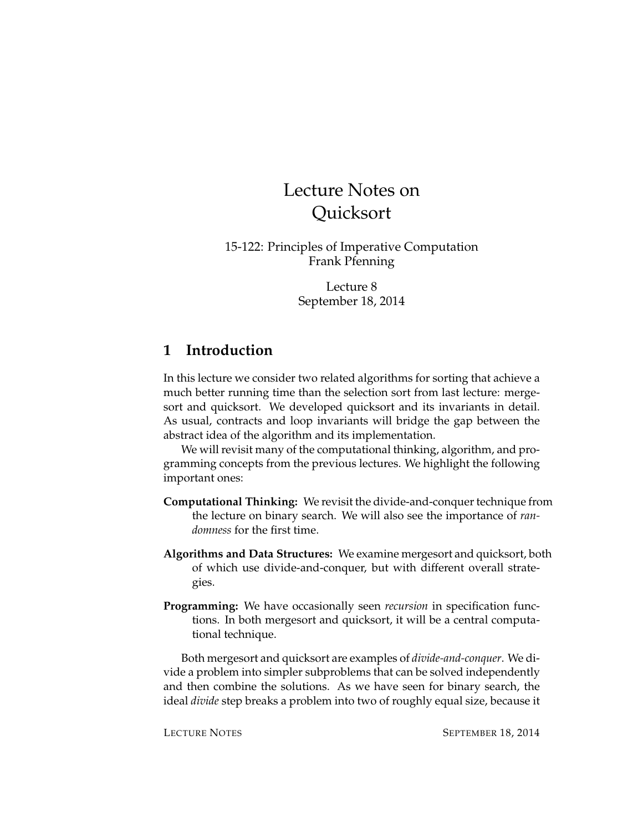# Lecture Notes on **Ouicksort**

15-122: Principles of Imperative Computation Frank Pfenning

> Lecture 8 September 18, 2014

### **1 Introduction**

In this lecture we consider two related algorithms for sorting that achieve a much better running time than the selection sort from last lecture: mergesort and quicksort. We developed quicksort and its invariants in detail. As usual, contracts and loop invariants will bridge the gap between the abstract idea of the algorithm and its implementation.

We will revisit many of the computational thinking, algorithm, and programming concepts from the previous lectures. We highlight the following important ones:

- **Computational Thinking:** We revisit the divide-and-conquer technique from the lecture on binary search. We will also see the importance of *randomness* for the first time.
- **Algorithms and Data Structures:** We examine mergesort and quicksort, both of which use divide-and-conquer, but with different overall strategies.
- **Programming:** We have occasionally seen *recursion* in specification functions. In both mergesort and quicksort, it will be a central computational technique.

Both mergesort and quicksort are examples of *divide-and-conquer*. We divide a problem into simpler subproblems that can be solved independently and then combine the solutions. As we have seen for binary search, the ideal *divide* step breaks a problem into two of roughly equal size, because it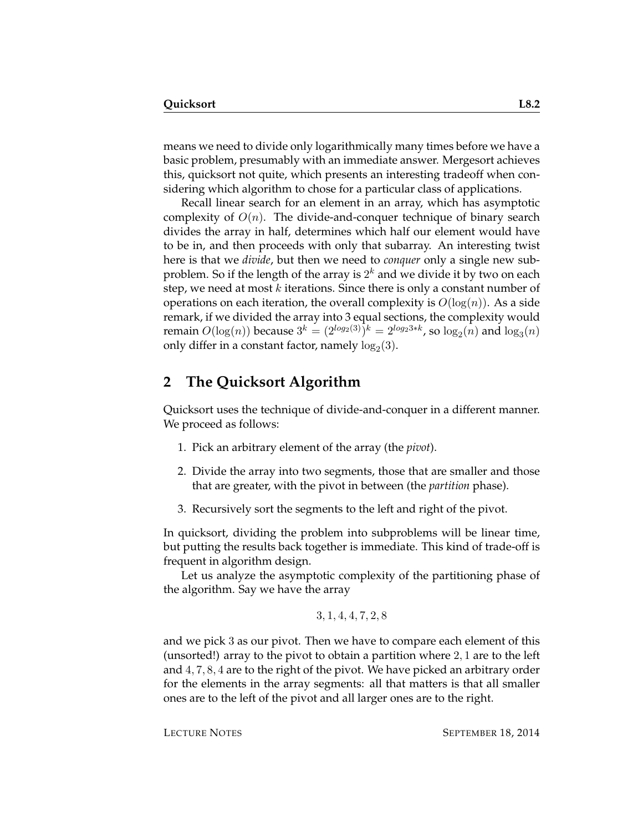means we need to divide only logarithmically many times before we have a basic problem, presumably with an immediate answer. Mergesort achieves this, quicksort not quite, which presents an interesting tradeoff when considering which algorithm to chose for a particular class of applications.

Recall linear search for an element in an array, which has asymptotic complexity of  $O(n)$ . The divide-and-conquer technique of binary search divides the array in half, determines which half our element would have to be in, and then proceeds with only that subarray. An interesting twist here is that we *divide*, but then we need to *conquer* only a single new subproblem. So if the length of the array is  $2^k$  and we divide it by two on each step, we need at most  $k$  iterations. Since there is only a constant number of operations on each iteration, the overall complexity is  $O(log(n))$ . As a side remark, if we divided the array into 3 equal sections, the complexity would remain  $O(\log(n))$  because  $3^k = (2^{log_2(3)})^k = 2^{log_23*k}$ , so  $log_2(n)$  and  $log_3(n)$ only differ in a constant factor, namely  $\log_2(3)$ .

#### **2 The Quicksort Algorithm**

Quicksort uses the technique of divide-and-conquer in a different manner. We proceed as follows:

- 1. Pick an arbitrary element of the array (the *pivot*).
- 2. Divide the array into two segments, those that are smaller and those that are greater, with the pivot in between (the *partition* phase).
- 3. Recursively sort the segments to the left and right of the pivot.

In quicksort, dividing the problem into subproblems will be linear time, but putting the results back together is immediate. This kind of trade-off is frequent in algorithm design.

Let us analyze the asymptotic complexity of the partitioning phase of the algorithm. Say we have the array

$$
3, 1, 4, 4, 7, 2, 8
$$

and we pick 3 as our pivot. Then we have to compare each element of this (unsorted!) array to the pivot to obtain a partition where 2, 1 are to the left and 4, 7, 8, 4 are to the right of the pivot. We have picked an arbitrary order for the elements in the array segments: all that matters is that all smaller ones are to the left of the pivot and all larger ones are to the right.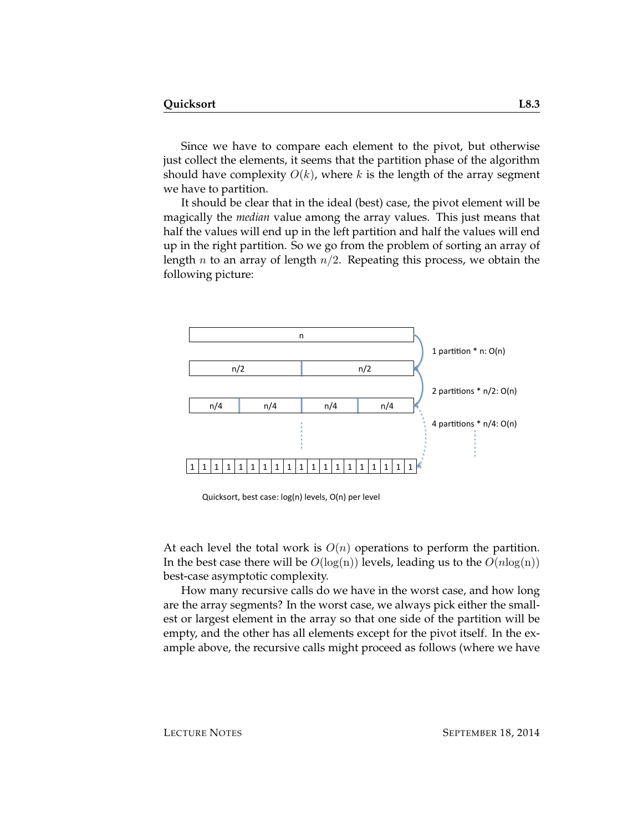Since we have to compare each element to the pivot, but otherwise just collect the elements, it seems that the partition phase of the algorithm should have complexity  $O(k)$ , where k is the length of the array segment we have to partition.

It should be clear that in the ideal (best) case, the pivot element will be magically the *median* value among the array values. This just means that half the values will end up in the left partition and half the values will end up in the right partition. So we go from the problem of sorting an array of length *n* to an array of length  $n/2$ . Repeating this process, we obtain the following picture:



Quicksort, best case: log(n) levels, O(n) per level

At each level the total work is  $O(n)$  operations to perform the partition. In the best case there will be  $O(log(n))$  levels, leading us to the  $O(n \log(n))$ best-case asymptotic complexity.

How many recursive calls do we have in the worst case, and how long are the array segments? In the worst case, we always pick either the smallest or largest element in the array so that one side of the partition will be empty, and the other has all elements except for the pivot itself. In the example above, the recursive calls might proceed as follows (where we have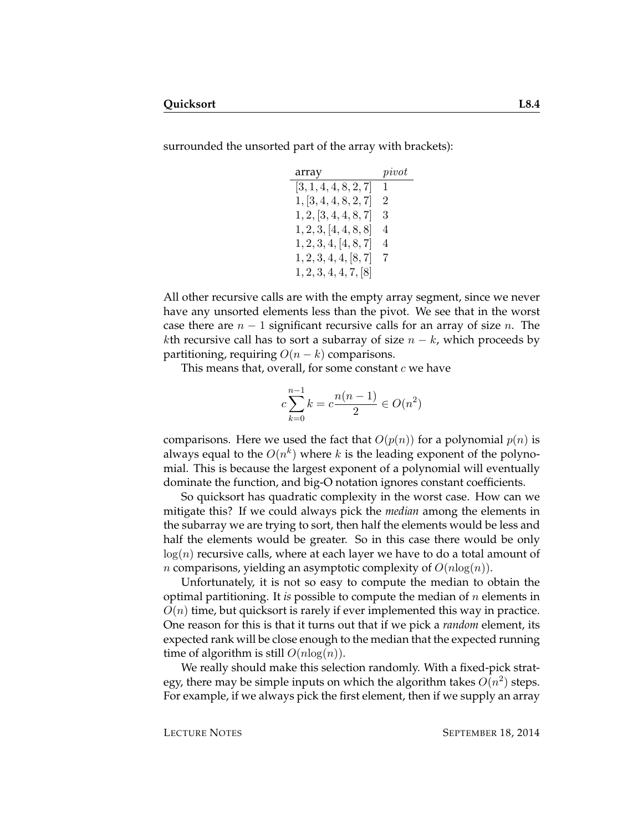surrounded the unsorted part of the array with brackets):

| array                 | pi vot         |
|-----------------------|----------------|
| [3, 1, 4, 4, 8, 2, 7] | $\mathbf{1}$   |
| 1, [3, 4, 4, 8, 2, 7] | $\overline{2}$ |
| 1, 2, [3, 4, 4, 8, 7] | 3              |
| 1, 2, 3, 4, 4, 8, 8   | 4              |
| 1, 2, 3, 4, [4, 8, 7] | 4              |
| 1, 2, 3, 4, 4, 8, 7   | 7              |
| 1, 2, 3, 4, 4, 7, 8   |                |

All other recursive calls are with the empty array segment, since we never have any unsorted elements less than the pivot. We see that in the worst case there are  $n-1$  significant recursive calls for an array of size n. The kth recursive call has to sort a subarray of size  $n - k$ , which proceeds by partitioning, requiring  $O(n-k)$  comparisons.

This means that, overall, for some constant  $c$  we have

$$
c\sum_{k=0}^{n-1} k = c\frac{n(n-1)}{2} \in O(n^2)
$$

comparisons. Here we used the fact that  $O(p(n))$  for a polynomial  $p(n)$  is always equal to the  $O(n^k)$  where  $k$  is the leading exponent of the polynomial. This is because the largest exponent of a polynomial will eventually dominate the function, and big-O notation ignores constant coefficients.

So quicksort has quadratic complexity in the worst case. How can we mitigate this? If we could always pick the *median* among the elements in the subarray we are trying to sort, then half the elements would be less and half the elements would be greater. So in this case there would be only  $log(n)$  recursive calls, where at each layer we have to do a total amount of *n* comparisons, yielding an asymptotic complexity of  $O(n \log(n))$ .

Unfortunately, it is not so easy to compute the median to obtain the optimal partitioning. It *is* possible to compute the median of n elements in  $O(n)$  time, but quicksort is rarely if ever implemented this way in practice. One reason for this is that it turns out that if we pick a *random* element, its expected rank will be close enough to the median that the expected running time of algorithm is still  $O(n \log(n))$ .

We really should make this selection randomly. With a fixed-pick strategy, there may be simple inputs on which the algorithm takes  $O(n^2)$  steps. For example, if we always pick the first element, then if we supply an array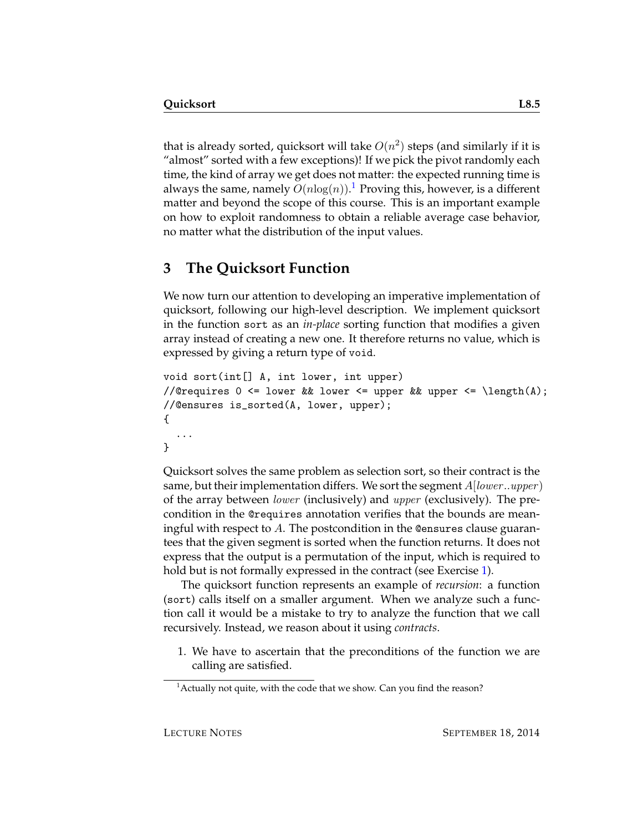that is already sorted, quicksort will take  $O(n^2)$  steps (and similarly if it is "almost" sorted with a few exceptions)! If we pick the pivot randomly each time, the kind of array we get does not matter: the expected running time is always the same, namely  $O(n \log(n)).^1$  $O(n \log(n)).^1$  Proving this, however, is a different matter and beyond the scope of this course. This is an important example on how to exploit randomness to obtain a reliable average case behavior, no matter what the distribution of the input values.

## **3 The Quicksort Function**

We now turn our attention to developing an imperative implementation of quicksort, following our high-level description. We implement quicksort in the function sort as an *in-place* sorting function that modifies a given array instead of creating a new one. It therefore returns no value, which is expressed by giving a return type of void.

```
void sort(int[] A, int lower, int upper)
//@requires 0 \leq lower && lower \leq upper && upper \leq \text{length}(A);
//@ensures is_sorted(A, lower, upper);
{
  ...
}
```
Quicksort solves the same problem as selection sort, so their contract is the same, but their implementation differs. We sort the segment  $A[lower..upper]$ of the array between lower (inclusively) and upper (exclusively). The precondition in the @requires annotation verifies that the bounds are meaningful with respect to A. The postcondition in the Consures clause guarantees that the given segment is sorted when the function returns. It does not express that the output is a permutation of the input, which is required to hold but is not formally expressed in the contract (see Exercise [1\)](#page-17-0).

The quicksort function represents an example of *recursion*: a function (sort) calls itself on a smaller argument. When we analyze such a function call it would be a mistake to try to analyze the function that we call recursively. Instead, we reason about it using *contracts*.

1. We have to ascertain that the preconditions of the function we are calling are satisfied.

<span id="page-4-0"></span> $<sup>1</sup>$  Actually not quite, with the code that we show. Can you find the reason?</sup>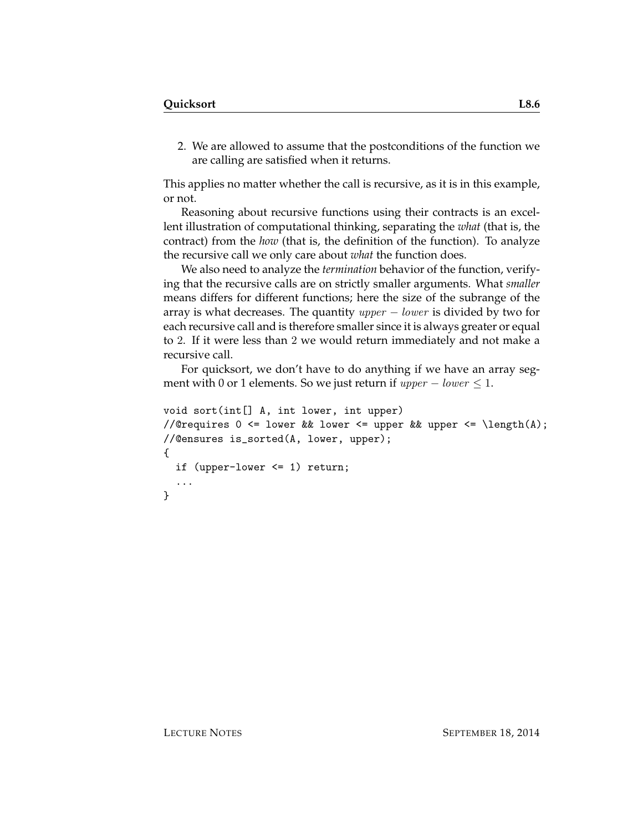2. We are allowed to assume that the postconditions of the function we are calling are satisfied when it returns.

This applies no matter whether the call is recursive, as it is in this example, or not.

Reasoning about recursive functions using their contracts is an excellent illustration of computational thinking, separating the *what* (that is, the contract) from the *how* (that is, the definition of the function). To analyze the recursive call we only care about *what* the function does.

We also need to analyze the *termination* behavior of the function, verifying that the recursive calls are on strictly smaller arguments. What *smaller* means differs for different functions; here the size of the subrange of the array is what decreases. The quantity  $upper - lower$  is divided by two for each recursive call and is therefore smaller since it is always greater or equal to 2. If it were less than 2 we would return immediately and not make a recursive call.

For quicksort, we don't have to do anything if we have an array segment with 0 or 1 elements. So we just return if  $upper - lower \leq 1$ .

```
void sort(int[] A, int lower, int upper)
//@requires 0 \leq lower && lower \leq upper && upper \leq \length(A);
//@ensures is_sorted(A, lower, upper);
{
  if (upper-lower <= 1) return;
  ...
}
```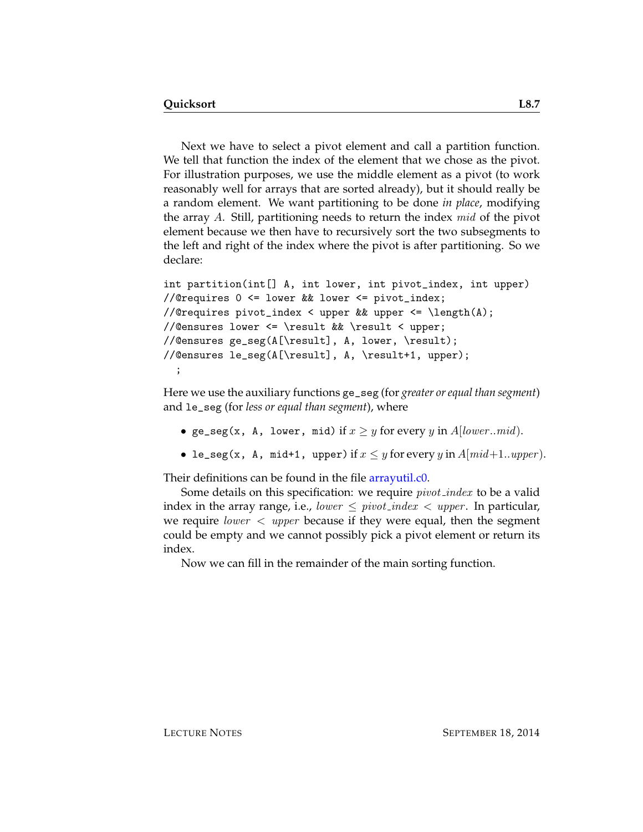Next we have to select a pivot element and call a partition function. We tell that function the index of the element that we chose as the pivot. For illustration purposes, we use the middle element as a pivot (to work reasonably well for arrays that are sorted already), but it should really be a random element. We want partitioning to be done *in place*, modifying the array A. Still, partitioning needs to return the index mid of the pivot element because we then have to recursively sort the two subsegments to the left and right of the index where the pivot is after partitioning. So we declare:

```
int partition(int[] A, int lower, int pivot_index, int upper)
//@requires 0 <= lower && lower <= pivot_index;
//@requires pivot_index < upper && upper <= \length(A);
//@ensures lower <= \result && \result < upper;
//@ensures ge_seg(A[\result], A, lower, \result);
//@ensures le_seg(A[\result], A, \result+1, upper);
  ;
```
Here we use the auxiliary functions ge\_seg (for *greater or equal than segment*) and le\_seg (for *less or equal than segment*), where

- ge\_seg(x, A, lower, mid) if  $x \geq y$  for every y in A[lower..mid].
- le\_seg(x, A, mid+1, upper) if  $x \leq y$  for every y in  $A$ [mid+1..upper].

Their definitions can be found in the file [arrayutil.c0.](http://www.cs.cmu.edu/~rjsimmon/15122-f14/lec/08-quicksort/arrayutil.c0)

Some details on this specification: we require *pivot\_index* to be a valid index in the array range, i.e., lower  $\le$  pivot index  $\lt$  upper. In particular, we require *lower*  $\langle$  *upper* because if they were equal, then the segment could be empty and we cannot possibly pick a pivot element or return its index.

Now we can fill in the remainder of the main sorting function.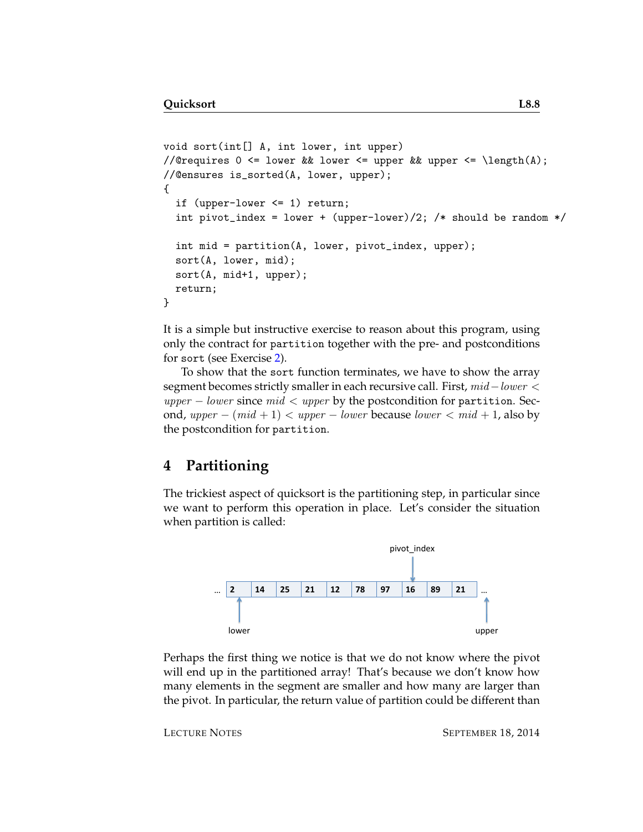```
void sort(int[] A, int lower, int upper)
//@requires 0 <= lower && lower <= upper && upper <= \length(A);
//@ensures is_sorted(A, lower, upper);
{
  if (upper-lower <= 1) return;
  int pivot_index = lower + (upper-lower)/2; /* should be random */int mid = partition(A, lower, pivot_index, upper);
  sort(A, lower, mid);
 sort(A, mid+1, upper);
  return;
}
```
It is a simple but instructive exercise to reason about this program, using only the contract for partition together with the pre- and postconditions for sort (see Exercise [2\)](#page-17-1).

To show that the sort function terminates, we have to show the array segment becomes strictly smaller in each recursive call. First, mid – lower <  $upper - lower$  since  $mid < upper$  by the postcondition for partition. Second, upper –  $(mid + 1)$  < upper – lower because lower <  $mid + 1$ , also by the postcondition for partition.

#### **4 Partitioning**

The trickiest aspect of quicksort is the partitioning step, in particular since we want to perform this operation in place. Let's consider the situation when partition is called:



Perhaps the first thing we notice is that we do not know where the pivot will end up in the partitioned array! That's because we don't know how many elements in the segment are smaller and how many are larger than the pivot. In particular, the return value of partition could be different than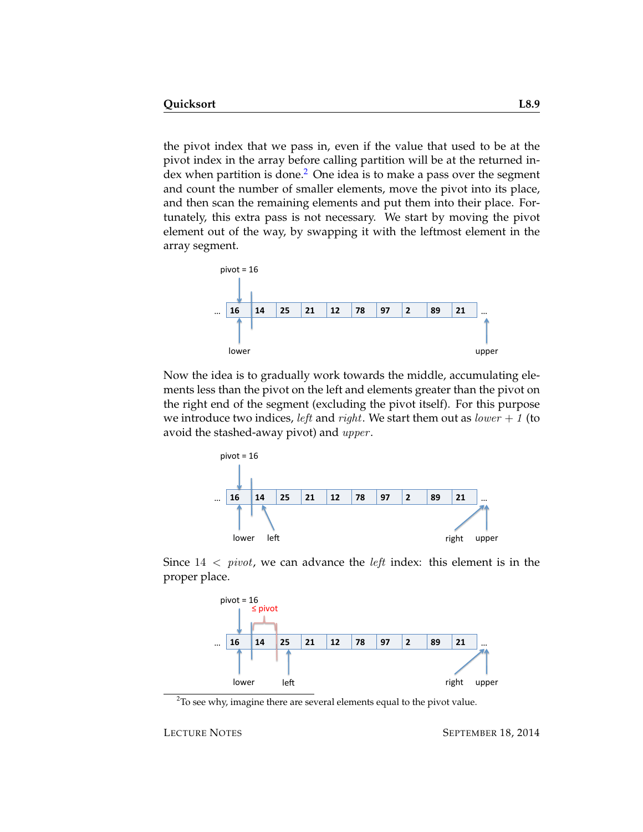the pivot index that we pass in, even if the value that used to be at the pivot index in the array before calling partition will be at the returned index when partition is done. $2$  One idea is to make a pass over the segment and count the number of smaller elements, move the pivot into its place, and then scan the remaining elements and put them into their place. Fortunately, this extra pass is not necessary. We start by moving the pivot element out of the way, by swapping it with the leftmost element in the array segment.



Now the idea is to gradually work towards the middle, accumulating elements less than the pivot on the left and elements greater than the pivot on the right end of the segment (excluding the pivot itself). For this purpose we introduce two indices, *left* and *right*. We start them out as *lower* + 1 (to avoid the stashed-away pivot) and *upper*.



Since  $14 < pivot$ , we can advance the *left* index: this element is in the proper place.



<span id="page-8-0"></span> $2$ To see why, imagine there are several elements equal to the pivot value.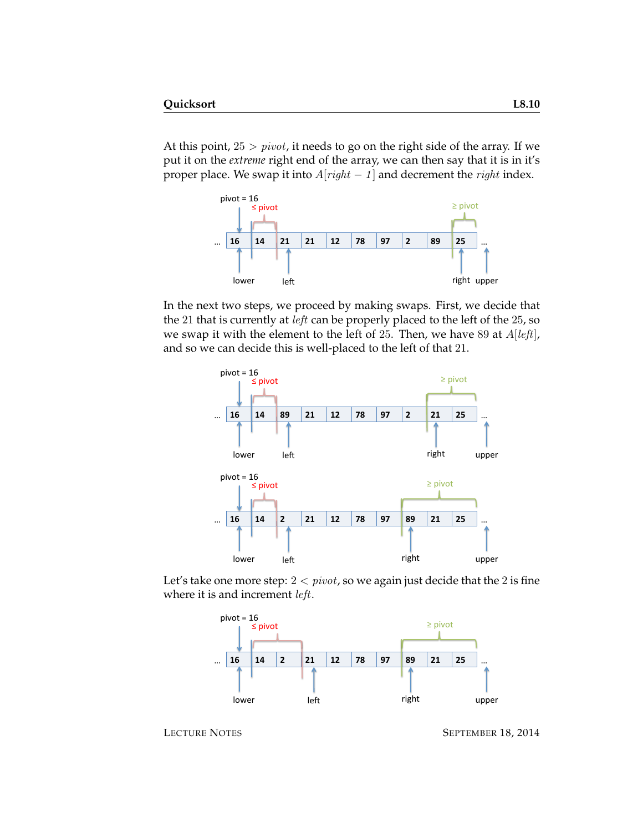At this point,  $25 > pivot$ , it needs to go on the right side of the array. If we put it on the *extreme* right end of the array, we can then say that it is in it's proper place. We swap it into  $A[right - 1]$  and decrement the *right* index.



In the next two steps, we proceed by making swaps. First, we decide that the 21 that is currently at *left* can be properly placed to the left of the 25, so we swap it with the element to the left of 25. Then, we have 89 at  $A[left]$ , and so we can decide this is well-placed to the left of that 21.



Let's take one more step:  $2 < pivot$ , so we again just decide that the 2 is fine where it is and increment *left*.



LECTURE NOTES SEPTEMBER 18, 2014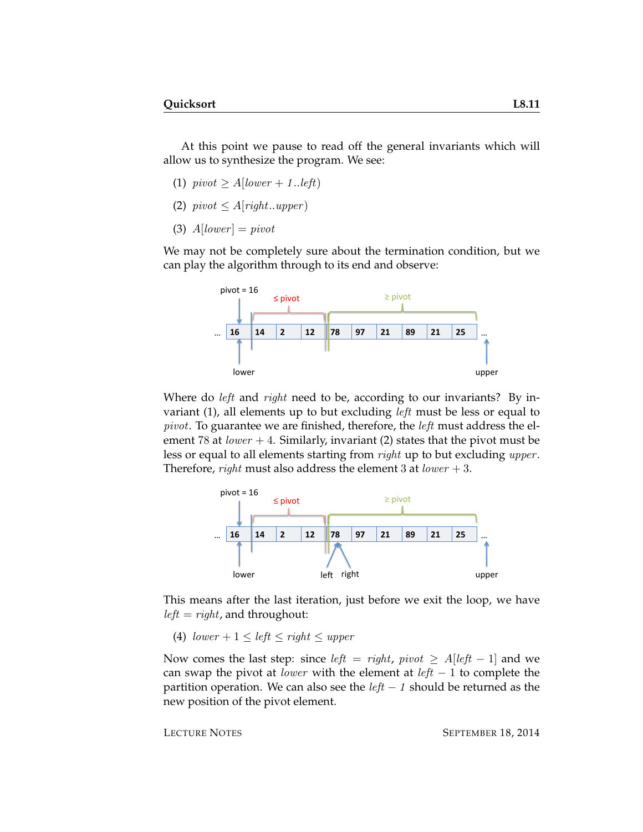At this point we pause to read off the general invariants which will allow us to synthesize the program. We see:

- (1)  $pivot \geq A[lower + 1..left]$
- (2)  $pivot \leq A[right..upper]$
- (3)  $A[lower] = pivot$

We may not be completely sure about the termination condition, but we can play the algorithm through to its end and observe:



Where do *left* and *right* need to be, according to our invariants? By invariant (1), all elements up to but excluding *left* must be less or equal to pivot. To guarantee we are finished, therefore, the left must address the element 78 at  $lower + 4$ . Similarly, invariant (2) states that the pivot must be less or equal to all elements starting from *right* up to but excluding *upper*. Therefore, *right* must also address the element 3 at  $lower + 3$ .



This means after the last iteration, just before we exit the loop, we have  $left = right$ , and throughout:

(4)  $lower + 1 \le left \le right \le upper$ 

Now comes the last step: since *left* = right,  $pivot \geq A[\text{left} - 1]$  and we can swap the pivot at *lower* with the element at  $left - 1$  to complete the partition operation. We can also see the  $left - 1$  should be returned as the new position of the pivot element.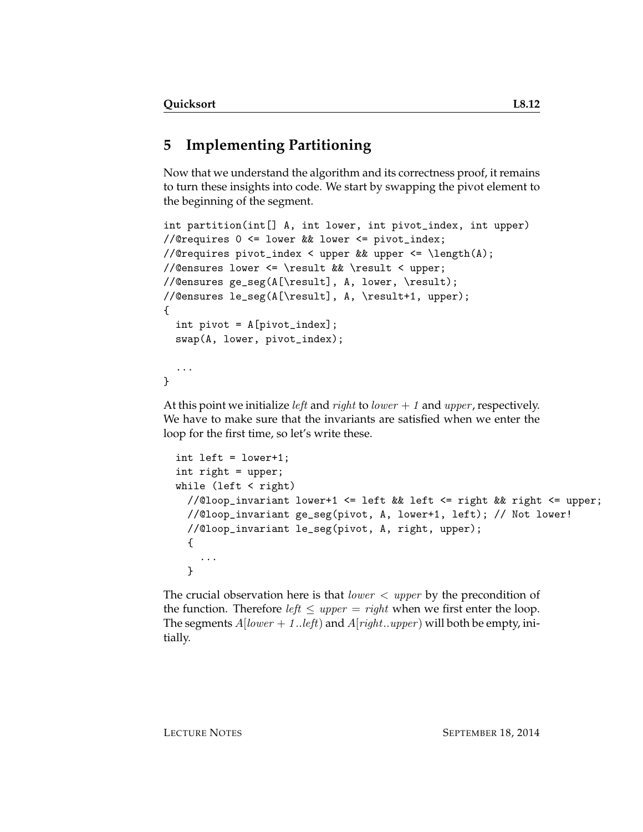# **5 Implementing Partitioning**

Now that we understand the algorithm and its correctness proof, it remains to turn these insights into code. We start by swapping the pivot element to the beginning of the segment.

```
int partition(int[] A, int lower, int pivot_index, int upper)
//@requires 0 <= lower && lower <= pivot_index;
//@requires pivot_index < upper && upper <= \length(A);
//@ensures lower <= \result && \result < upper;
//@ensures ge_seg(A[\result], A, lower, \result);
//@ensures le_seg(A[\result], A, \result+1, upper);
{
  int pivot = A[pivot_index];
  swap(A, lower, pivot_index);
  ...
}
```
At this point we initialize *left* and *right* to *lower*  $+ 1$  and *upper*, respectively. We have to make sure that the invariants are satisfied when we enter the loop for the first time, so let's write these.

```
int left = lower+1;
int right = upper;
while (left \langle right)
  //@loop_invariant lower+1 <= left && left <= right && right <= upper;
  //@loop_invariant ge_seg(pivot, A, lower+1, left); // Not lower!
  //@loop_invariant le_seg(pivot, A, right, upper);
  {
    ...
  }
```
The crucial observation here is that *lower*  $\langle$  *upper* by the precondition of the function. Therefore *left*  $\leq$  *upper* = *right* when we first enter the loop. The segments  $A[lower + 1..left]$  and  $A[right..upper)$  will both be empty, initially.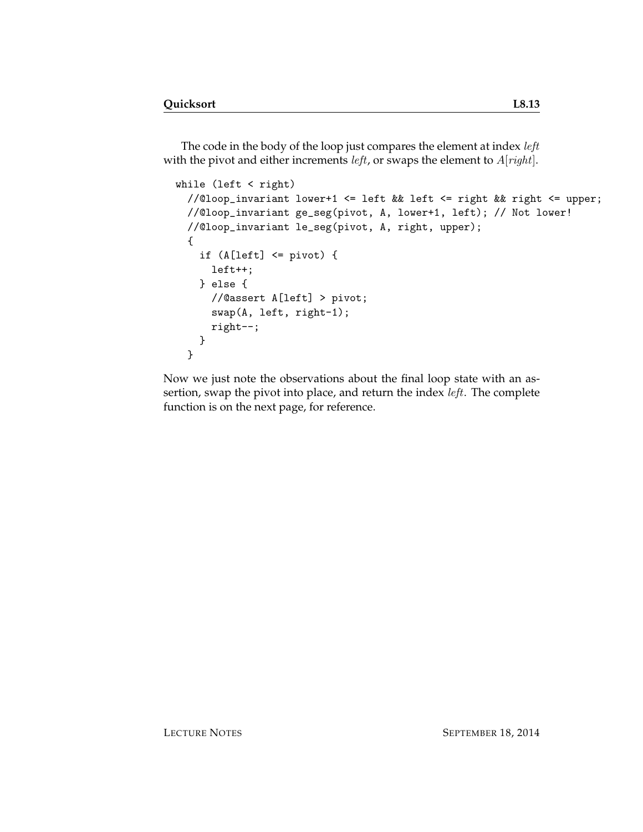The code in the body of the loop just compares the element at index left with the pivot and either increments *left*, or swaps the element to  $A[right]$ .

```
while (left < right)
 //@loop_invariant lower+1 <= left && left <= right && right <= upper;
 //@loop_invariant ge_seg(pivot, A, lower+1, left); // Not lower!
 //@loop_invariant le_seg(pivot, A, right, upper);
  {
    if (A[left] <= pivot) {
     left++;
    } else {
     //@assert A[left] > pivot;
      swap(A, left, right-1);
     right--;
    }
 }
```
Now we just note the observations about the final loop state with an assertion, swap the pivot into place, and return the index *left*. The complete function is on the next page, for reference.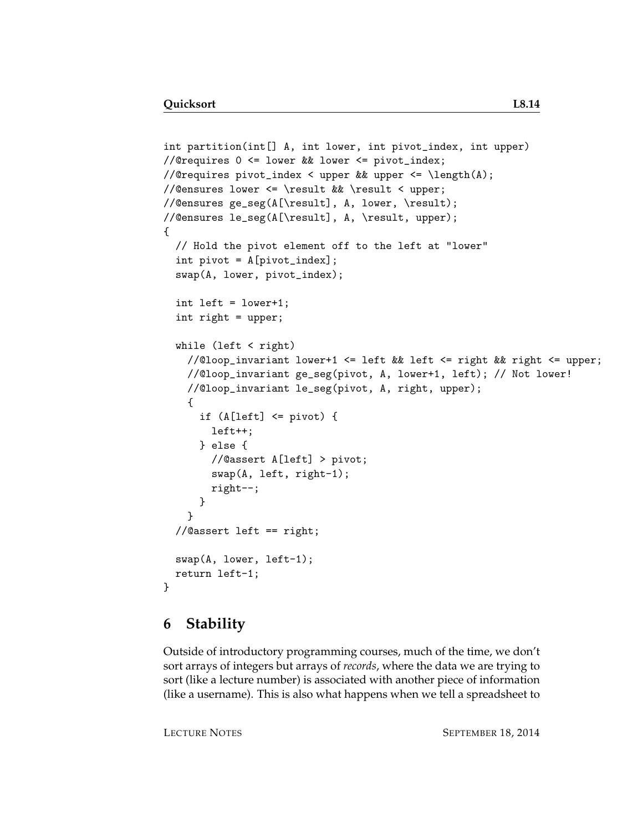```
int partition(int[] A, int lower, int pivot_index, int upper)
//@requires 0 <= lower && lower <= pivot_index;
//@requires pivot_index < upper && upper <= \length(A);
//@ensures lower <= \result && \result < upper;
//@ensures ge_seg(A[\result], A, lower, \result);
//@ensures le_seg(A[\result], A, \result, upper);
{
  // Hold the pivot element off to the left at "lower"
  int pivot = A[pivot_index];
 swap(A, lower, pivot_index);
  int left = lower+1;
  int right = upper;
  while (left < right)
   //@loop_invariant lower+1 <= left && left <= right && right <= upper;
   //@loop_invariant ge_seg(pivot, A, lower+1, left); // Not lower!
   //@loop_invariant le_seg(pivot, A, right, upper);
    {
      if (A[left] \leq pivot) {
       left++;
      } else {
        //@assert A[left] > pivot;
        swap(A, left, right-1);
       right--;
      }
    }
  //@assert left == right;
 swap(A, lower, left-1);
 return left-1;
}
```
#### **6 Stability**

Outside of introductory programming courses, much of the time, we don't sort arrays of integers but arrays of *records*, where the data we are trying to sort (like a lecture number) is associated with another piece of information (like a username). This is also what happens when we tell a spreadsheet to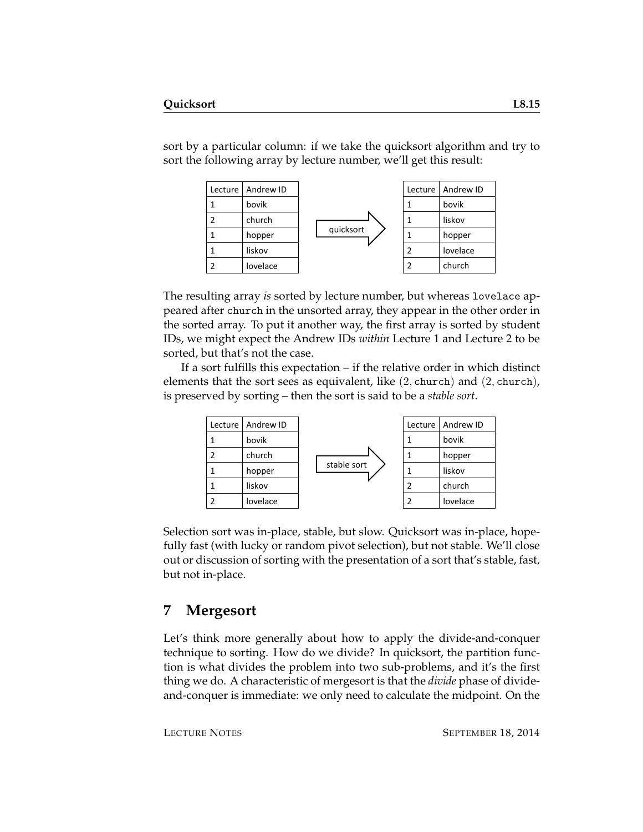sort by a particular column: if we take the quicksort algorithm and try to sort the following array by lecture number, we'll get this result:



The resulting array *is* sorted by lecture number, but whereas lovelace appeared after church in the unsorted array, they appear in the other order in the sorted array. To put it another way, the first array is sorted by student IDs, we might expect the Andrew IDs *within* Lecture 1 and Lecture 2 to be sorted, but that's not the case.

If a sort fulfills this expectation – if the relative order in which distinct elements that the sort sees as equivalent, like  $(2,$  church) and  $(2,$  church), is preserved by sorting – then the sort is said to be a *stable sort*.



Selection sort was in-place, stable, but slow. Quicksort was in-place, hopefully fast (with lucky or random pivot selection), but not stable. We'll close out or discussion of sorting with the presentation of a sort that's stable, fast, but not in-place.

#### **7 Mergesort**

Let's think more generally about how to apply the divide-and-conquer technique to sorting. How do we divide? In quicksort, the partition function is what divides the problem into two sub-problems, and it's the first thing we do. A characteristic of mergesort is that the *divide* phase of divideand-conquer is immediate: we only need to calculate the midpoint. On the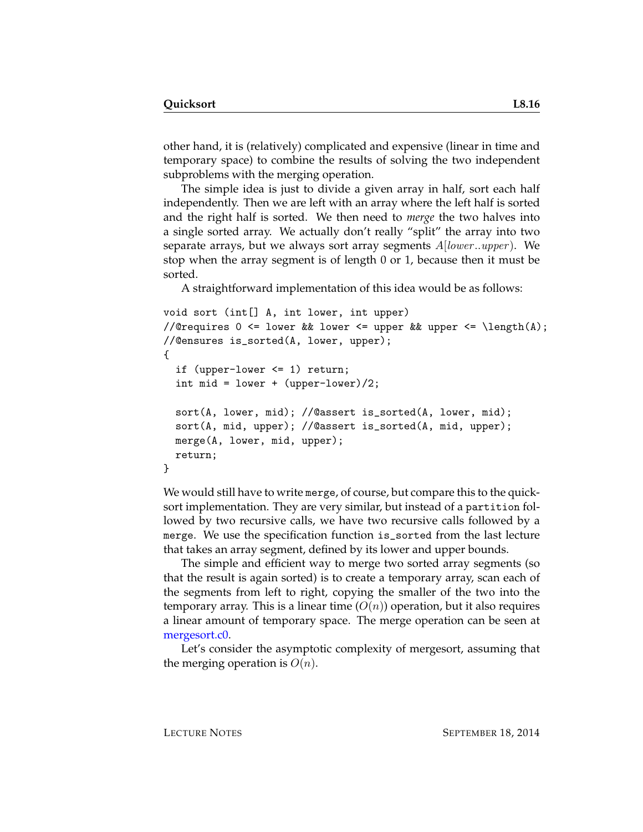other hand, it is (relatively) complicated and expensive (linear in time and temporary space) to combine the results of solving the two independent subproblems with the merging operation.

The simple idea is just to divide a given array in half, sort each half independently. Then we are left with an array where the left half is sorted and the right half is sorted. We then need to *merge* the two halves into a single sorted array. We actually don't really "split" the array into two separate arrays, but we always sort array segments  $A|lower..upper)$ . We stop when the array segment is of length 0 or 1, because then it must be sorted.

A straightforward implementation of this idea would be as follows:

```
void sort (int[] A, int lower, int upper)
//@requires 0 \leq lower && lower \leq upper && upper \leq \length(A);
//@ensures is_sorted(A, lower, upper);
{
  if (upper-lower <= 1) return;
  int mid = lower + (upper-lower)/2;
  sort(A, lower, mid); //@assert is_sorted(A, lower, mid);
  sort(A, mid, upper); //@assert is_sorted(A, mid, upper);
 merge(A, lower, mid, upper);
  return;
}
```
We would still have to write merge, of course, but compare this to the quicksort implementation. They are very similar, but instead of a partition followed by two recursive calls, we have two recursive calls followed by a merge. We use the specification function is\_sorted from the last lecture that takes an array segment, defined by its lower and upper bounds.

The simple and efficient way to merge two sorted array segments (so that the result is again sorted) is to create a temporary array, scan each of the segments from left to right, copying the smaller of the two into the temporary array. This is a linear time  $(O(n))$  operation, but it also requires a linear amount of temporary space. The merge operation can be seen at [mergesort.c0.](http://www.cs.cmu.edu/~rjsimmon/15122-f14/lec/08-quicksort/mergesort.c0)

Let's consider the asymptotic complexity of mergesort, assuming that the merging operation is  $O(n)$ .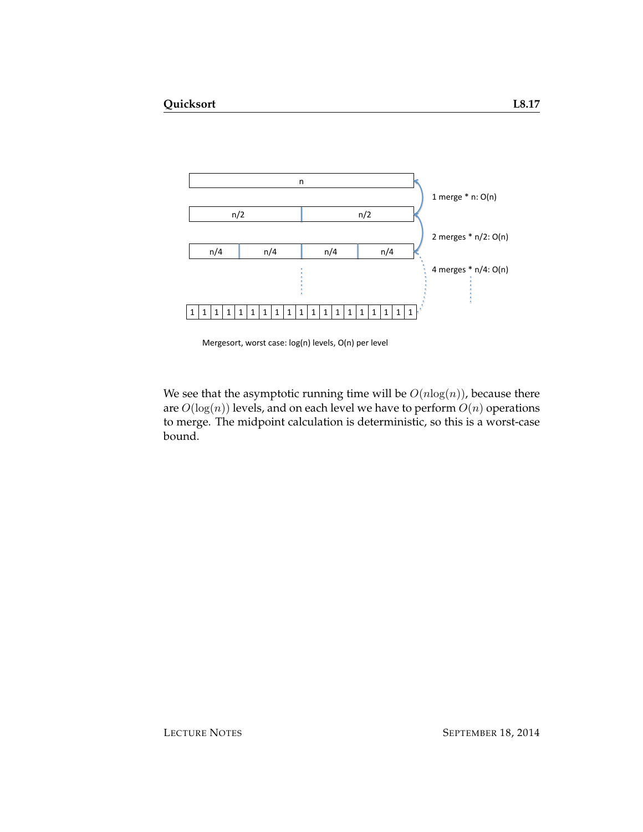

Mergesort, worst case: log(n) levels, O(n) per level

We see that the asymptotic running time will be  $O(n \log(n))$ , because there are  $O(\log(n))$  levels, and on each level we have to perform  $O(n)$  operations to merge. The midpoint calculation is deterministic, so this is a worst-case bound.